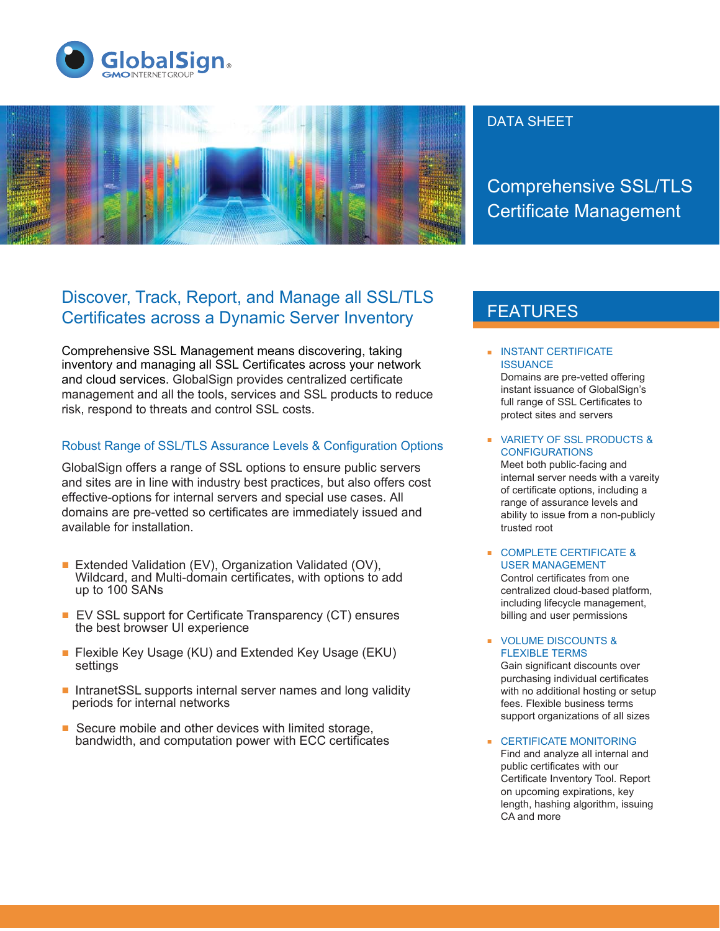



### DATA SHEET

Comprehensive SSL/TLS Certificate Management

## Discover, Track, Report, and Manage all SSL/TLS Certificates across a Dynamic Server Inventory

Comprehensive SSL Management means discovering, taking inventory and managing all SSL Certificates across your network and cloud services. GlobalSign provides centralized certificate management and all the tools, services and SSL products to reduce risk, respond to threats and control SSL costs.

#### Robust Range of SSL/TLS Assurance Levels & Configuration Options

GlobalSign offers a range of SSL options to ensure public servers and sites are in line with industry best practices, but also offers cost effective-options for internal servers and special use cases. All domains are pre-vetted so certificates are immediately issued and available for installation.

- Extended Validation (EV), Organization Validated (OV), Wildcard, and Multi-domain certificates, with options to add up to 100 SANs
- $\blacksquare$  EV SSL support for Certificate Transparency (CT) ensures the best browser UI experience
- Flexible Key Usage (KU) and Extended Key Usage (EKU) settings
- $\blacksquare$  IntranetSSL supports internal server names and long validity periods for internal networks
- $\blacksquare$  Secure mobile and other devices with limited storage, bandwidth, and computation power with ECC certificates

# FEATURES

**INSTANT CERTIFICATE ISSUANCE** Domains are pre-vetted offering

instant issuance of GlobalSign's full range of SSL Certificates to protect sites and servers

**VARIETY OF SSL PRODUCTS & CONFIGURATIONS** 

Meet both public-facing and internal server needs with a vareity of certificate options, including a range of assurance levels and ability to issue from a non-publicly trusted root

#### **COMPLETE CERTIFICATE &** USER MANAGEMENT

Control certificates from one centralized cloud-based platform, including lifecycle management, billing and user permissions

**• VOLUME DISCOUNTS &** FLEXIBLE TERMS Gain significant discounts over purchasing individual certificates with no additional hosting or setup fees. Flexible business terms support organizations of all sizes

**EXECUTEFICATE MONITORING** Find and analyze all internal and public certificates with our Certificate Inventory Tool. Report on upcoming expirations, key length, hashing algorithm, issuing CA and more